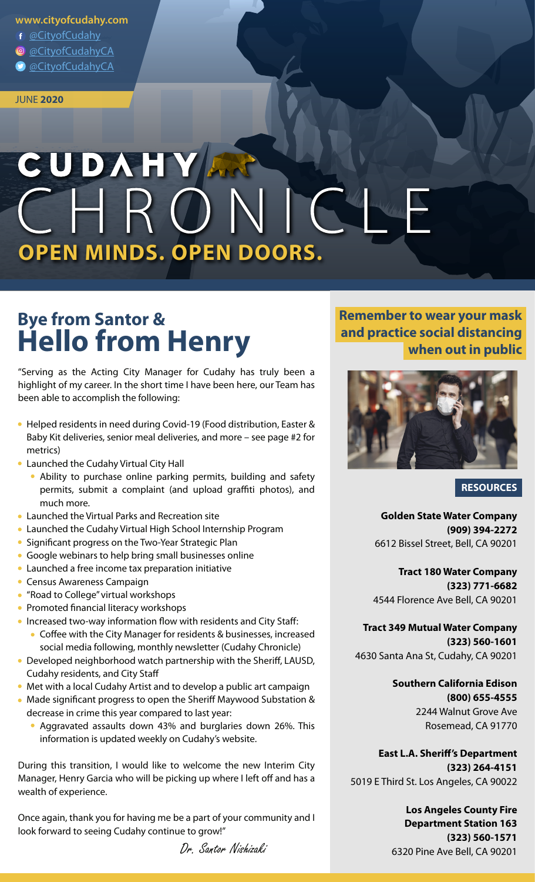### **www.cityofcudahy.com**

- @CityofCudahy
- @CityofCudahyCA
- @CityofCudahyCA

#### JUNE **2020**

# CUDAHY AR EHRO **OPEN MINDS. OPEN DOORS.**

# **Bye from Santor & Hello from Henry**

"Serving as the Acting City Manager for Cudahy has truly been a highlight of my career. In the short time I have been here, our Team has been able to accomplish the following:

- Helped residents in need during Covid-19 (Food distribution, Easter & Baby Kit deliveries, senior meal deliveries, and more – see page #2 for metrics)
- Launched the Cudahy Virtual City Hall
	- Ability to purchase online parking permits, building and safety permits, submit a complaint (and upload graffiti photos), and much more.
- Launched the Virtual Parks and Recreation site
- Launched the Cudahy Virtual High School Internship Program
- Significant progress on the Two-Year Strategic Plan
- Google webinars to help bring small businesses online
- Launched a free income tax preparation initiative
- **Census Awareness Campaign**
- "Road to College" virtual workshops
- Promoted financial literacy workshops
- $\bullet$  Increased two-way information flow with residents and City Staff:
	- $\bullet$  Coffee with the City Manager for residents & businesses, increased social media following, monthly newsletter (Cudahy Chronicle)
- Developed neighborhood watch partnership with the Sheriff, LAUSD, Cudahy residents, and City Sta
- Met with a local Cudahy Artist and to develop a public art campaign
- Made significant progress to open the Sheriff Maywood Substation & decrease in crime this year compared to last year:
	- Aggravated assaults down 43% and burglaries down 26%. This information is updated weekly on Cudahy's website.

During this transition, I would like to welcome the new Interim City Manager, Henry Garcia who will be picking up where I left off and has a wealth of experience.

Once again, thank you for having me be a part of your community and I look forward to seeing Cudahy continue to grow!"

Dr. Santor Nishizaki

## **Remember to wear your mask and practice social distancing when out in public**



### **RESOURCES**

**Golden State Water Company (909) 394-2272** 6612 Bissel Street, Bell, CA 90201

**Tract 180 Water Company (323) 771-6682** 4544 Florence Ave Bell, CA 90201

**Tract 349 Mutual Water Company (323) 560-1601** 4630 Santa Ana St, Cudahy, CA 90201

> **Southern California Edison (800) 655-4555** 2244 Walnut Grove Ave Rosemead, CA 91770

**East L.A. Sheriff's Department (323) 264-4151** 5019 E Third St. Los Angeles, CA 90022

> **Los Angeles County Fire Department Station 163 (323) 560-1571** 6320 Pine Ave Bell, CA 90201